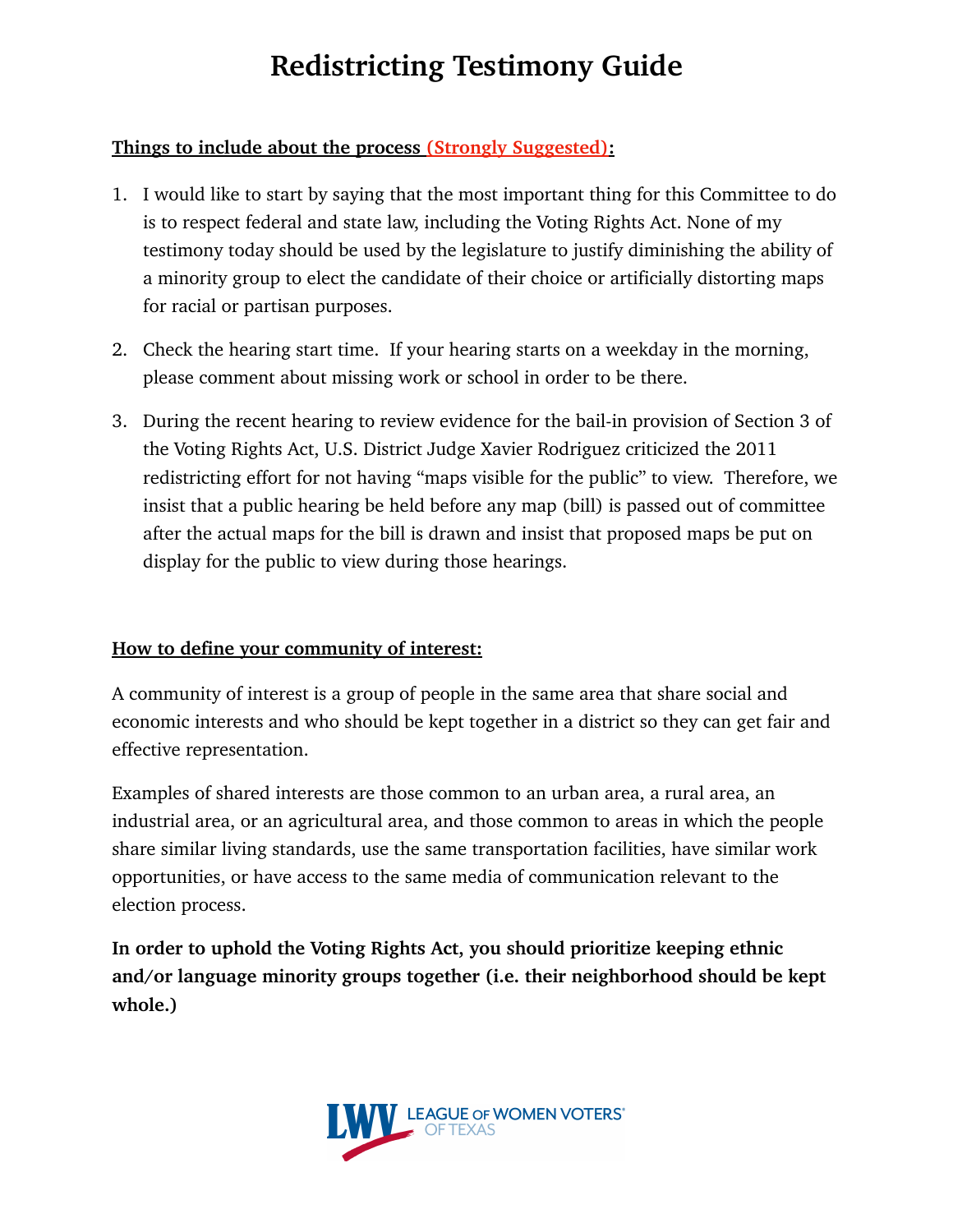# **Redistricting Testimony Guide**

## **Things to include about the process (Strongly Suggested):**

- 1. I would like to start by saying that the most important thing for this Committee to do is to respect federal and state law, including the Voting Rights Act. None of my testimony today should be used by the legislature to justify diminishing the ability of a minority group to elect the candidate of their choice or artificially distorting maps for racial or partisan purposes.
- 2. Check the hearing start time. If your hearing starts on a weekday in the morning, please comment about missing work or school in order to be there.
- 3. During the recent hearing to review evidence for the bail-in provision of Section 3 of the Voting Rights Act, U.S. District Judge Xavier Rodriguez criticized the 2011 redistricting effort for not having "maps visible for the public" to view. Therefore, we insist that a public hearing be held before any map (bill) is passed out of committee after the actual maps for the bill is drawn and insist that proposed maps be put on display for the public to view during those hearings.

### **How to define your community of interest:**

A community of interest is a group of people in the same area that share social and economic interests and who should be kept together in a district so they can get fair and effective representation.

Examples of shared interests are those common to an urban area, a rural area, an industrial area, or an agricultural area, and those common to areas in which the people share similar living standards, use the same transportation facilities, have similar work opportunities, or have access to the same media of communication relevant to the election process.

**In order to uphold the Voting Rights Act, you should prioritize keeping ethnic and/or language minority groups together (i.e. their neighborhood should be kept whole.)** 

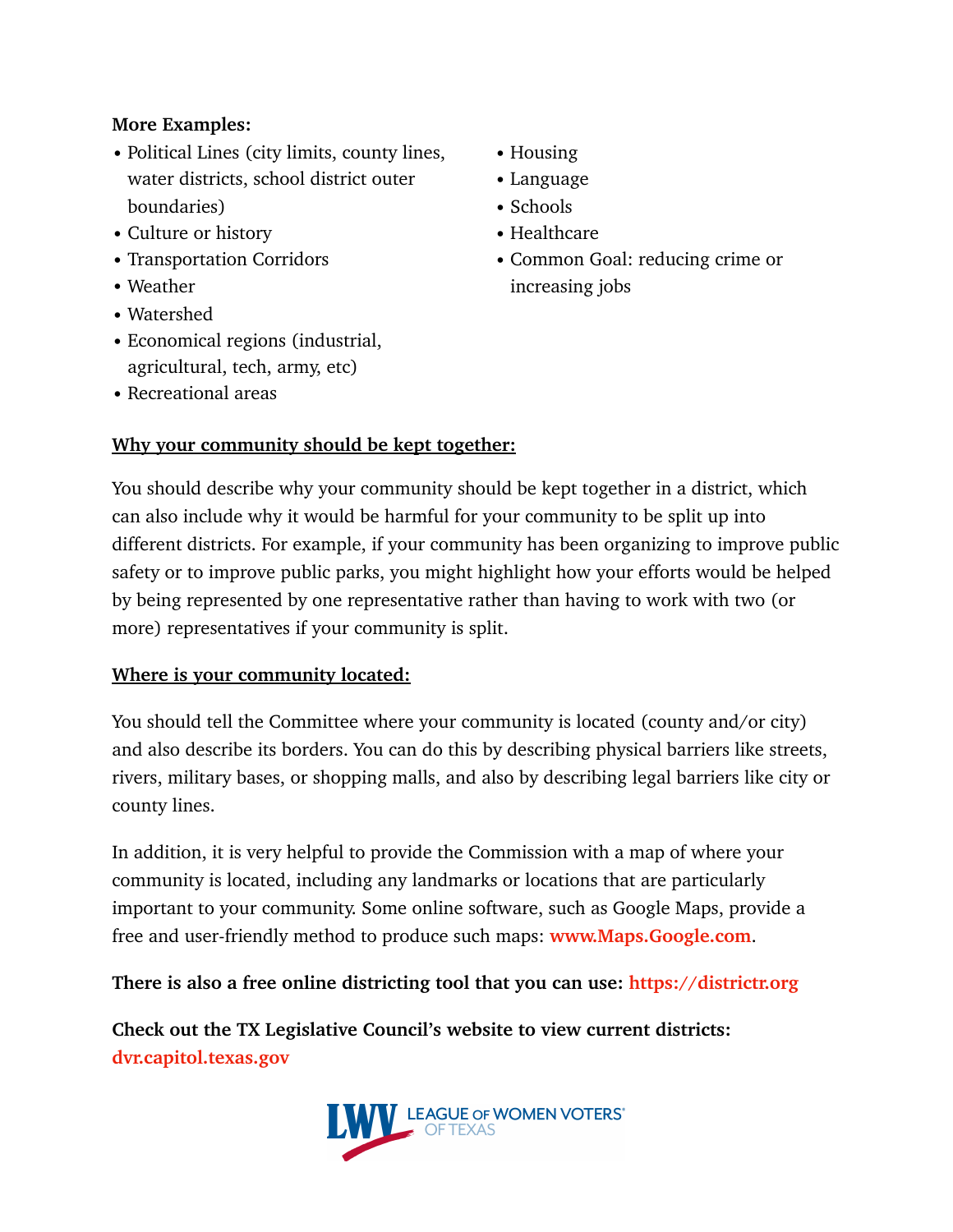### **More Examples:**

- Political Lines (city limits, county lines, water districts, school district outer boundaries)
- Culture or history
- Transportation Corridors
- Weather
- Watershed
- Economical regions (industrial, agricultural, tech, army, etc)
- Recreational areas

## **Why your community should be kept together:**

- Housing
- Language
- Schools
- Healthcare
- Common Goal: reducing crime or increasing jobs

You should describe why your community should be kept together in a district, which can also include why it would be harmful for your community to be split up into different districts. For example, if your community has been organizing to improve public safety or to improve public parks, you might highlight how your efforts would be helped by being represented by one representative rather than having to work with two (or more) representatives if your community is split.

### **Where is your community located:**

You should tell the Committee where your community is located (county and/or city) and also describe its borders. You can do this by describing physical barriers like streets, rivers, military bases, or shopping malls, and also by describing legal barriers like city or county lines.

In addition, it is very helpful to provide the Commission with a map of where your community is located, including any landmarks or locations that are particularly important to your community. Some online software, such as Google Maps, provide a free and user-friendly method to produce such maps: **www.Maps.Google.com**.

**There is also a free online districting tool that you can use:<https://districtr.org>**

**Check out the TX Legislative Council's website to view current districts: [dvr.capitol.texas.gov](http://dvr.capitol.texas.gov)**

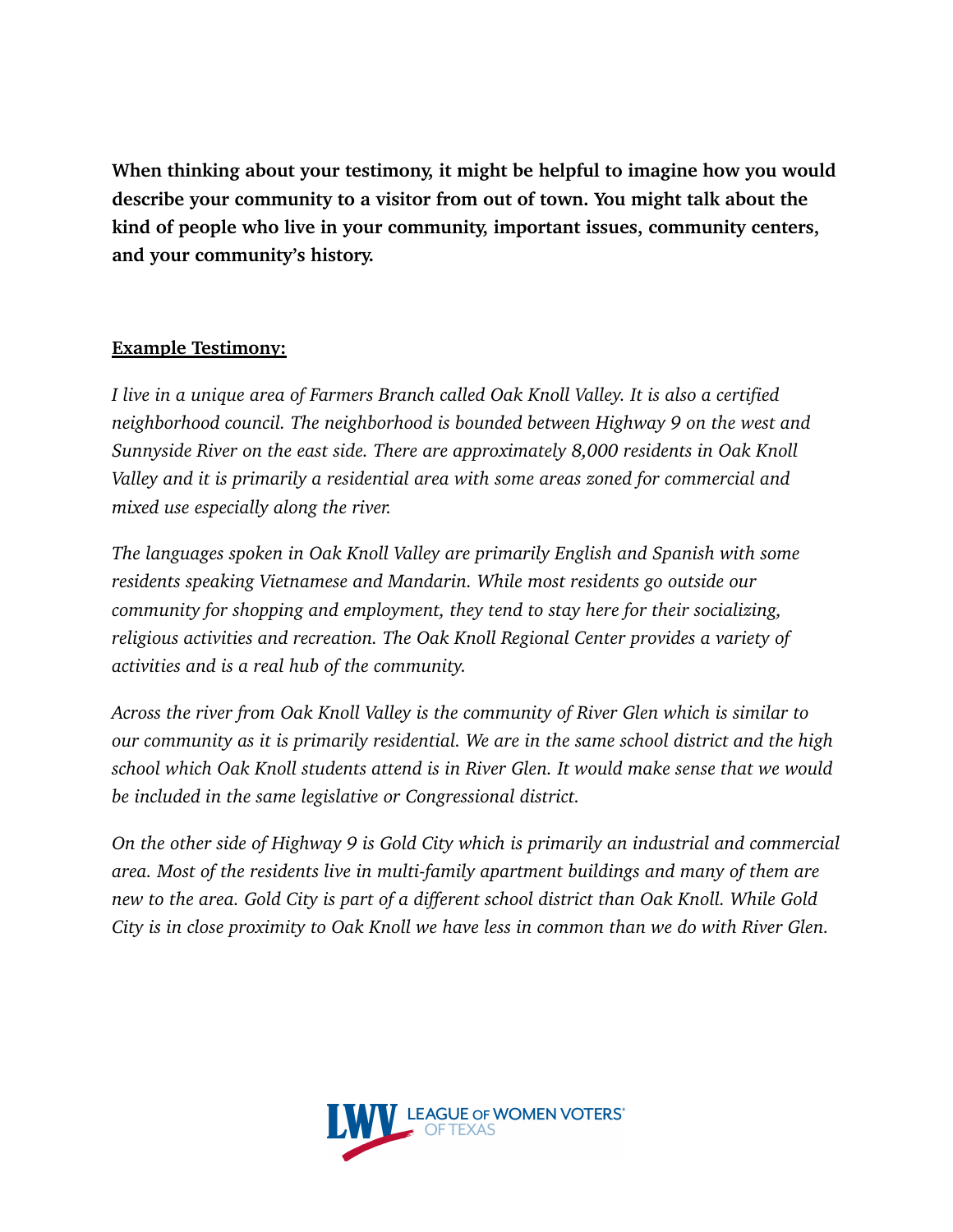**When thinking about your testimony, it might be helpful to imagine how you would describe your community to a visitor from out of town. You might talk about the kind of people who live in your community, important issues, community centers, and your community's history.** 

#### **Example Testimony:**

*I live in a unique area of Farmers Branch called Oak Knoll Valley. It is also a certified neighborhood council. The neighborhood is bounded between Highway 9 on the west and Sunnyside River on the east side. There are approximately 8,000 residents in Oak Knoll Valley and it is primarily a residential area with some areas zoned for commercial and mixed use especially along the river.* 

*The languages spoken in Oak Knoll Valley are primarily English and Spanish with some residents speaking Vietnamese and Mandarin. While most residents go outside our community for shopping and employment, they tend to stay here for their socializing, religious activities and recreation. The Oak Knoll Regional Center provides a variety of activities and is a real hub of the community.* 

*Across the river from Oak Knoll Valley is the community of River Glen which is similar to our community as it is primarily residential. We are in the same school district and the high school which Oak Knoll students attend is in River Glen. It would make sense that we would be included in the same legislative or Congressional district.* 

*On the other side of Highway 9 is Gold City which is primarily an industrial and commercial area. Most of the residents live in multi-family apartment buildings and many of them are new to the area. Gold City is part of a different school district than Oak Knoll. While Gold City is in close proximity to Oak Knoll we have less in common than we do with River Glen.*